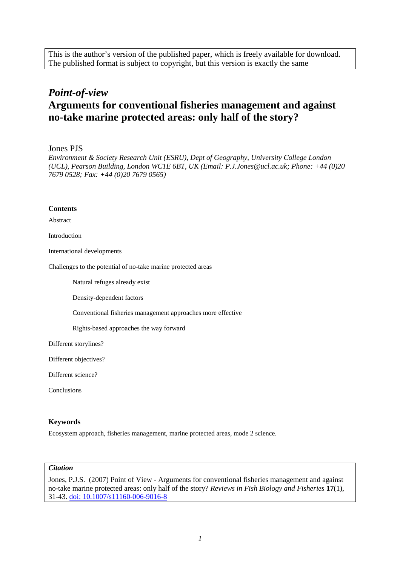This is the author's version of the published paper, which is freely available for download. The published format is subject to copyright, but this version is exactly the same

# *Point-of-view* **Arguments for conventional fisheries management and against no-take marine protected areas: only half of the story?**

# Jones PJS

*Environment & Society Research Unit (ESRU), Dept of Geography, University College London (UCL), Pearson Building, London WC1E 6BT, UK (Email: [P.J.Jones@ucl.ac.uk](mailto:P.J.Jones@ucl.ac.uk); Phone: +44 (0)20 7679 0528; Fax: +44 (0)20 7679 0565)*

### **Contents**

Abstract

Introduction

International developments

Challenges to the potential of no-take marine protected areas

Natural refuges already exist

Density-dependent factors

Conventional fisheries management approaches more effective

Rights-based approaches the way forward

Different storylines?

Different objectives?

Different science?

Conclusions

### **Keywords**

Ecosystem approach, fisheries management, marine protected areas, mode 2 science.

# *Citation*

Jones, P.J.S. (2007) Point of View - Arguments for conventional fisheries management and against no-take marine protected areas: only half of the story? *Reviews in Fish Biology and Fisheries* **17**(1), 31-43. doi: [10.1007/s11160-006-9016-8](http://dx.doi.org/10.1007/s11160-006-9016-8)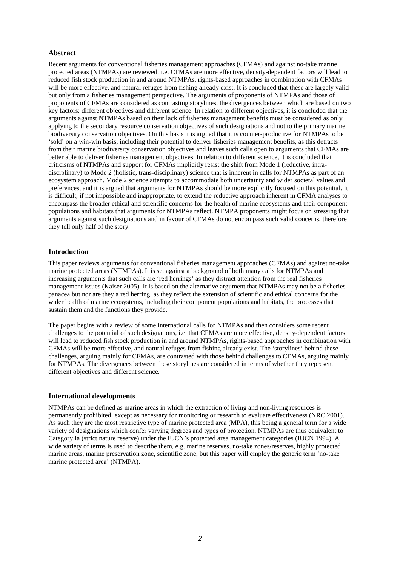## **Abstract**

Recent arguments for conventional fisheries management approaches (CFMAs) and against no-take marine protected areas (NTMPAs) are reviewed, i.e. CFMAs are more effective, density-dependent factors will lead to reduced fish stock production in and around NTMPAs, rights-based approaches in combination with CFMAs will be more effective, and natural refuges from fishing already exist. It is concluded that these are largely valid but only from a fisheries management perspective. The arguments of proponents of NTMPAs and those of proponents of CFMAs are considered as contrasting storylines, the divergences between which are based on two key factors: different objectives and different science. In relation to different objectives, it is concluded that the arguments against NTMPAs based on their lack of fisheries management benefits must be considered as only applying to the secondary resource conservation objectives of such designations and not to the primary marine biodiversity conservation objectives. On this basis it is argued that it is counter-productive for NTMPAs to be 'sold' on a win-win basis, including their potential to deliver fisheries management benefits, as this detracts from their marine biodiversity conservation objectives and leaves such calls open to arguments that CFMAs are better able to deliver fisheries management objectives. In relation to different science, it is concluded that criticisms of NTMPAs and support for CFMAs implicitly resist the shift from Mode 1 (reductive, intradisciplinary) to Mode 2 (holistic, trans-disciplinary) science that is inherent in calls for NTMPAs as part of an ecosystem approach. Mode 2 science attempts to accommodate both uncertainty and wider societal values and preferences, and it is argued that arguments for NTMPAs should be more explicitly focused on this potential. It is difficult, if not impossible and inappropriate, to extend the reductive approach inherent in CFMA analyses to encompass the broader ethical and scientific concerns for the health of marine ecosystems and their component populations and habitats that arguments for NTMPAs reflect. NTMPA proponents might focus on stressing that arguments against such designations and in favour of CFMAs do not encompass such valid concerns, therefore they tell only half of the story.

### **Introduction**

This paper reviews arguments for conventional fisheries management approaches (CFMAs) and against no-take marine protected areas (NTMPAs). It is set against a background of both many calls for NTMPAs and increasing arguments that such calls are 'red herrings' as they distract attention from the real fisheries management issues (Kaiser 2005). It is based on the alternative argument that NTMPAs may not be a fisheries panacea but nor are they a red herring, as they reflect the extension of scientific and ethical concerns for the wider health of marine ecosystems, including their component populations and habitats, the processes that sustain them and the functions they provide.

The paper begins with a review of some international calls for NTMPAs and then considers some recent challenges to the potential of such designations, i.e. that CFMAs are more effective, density-dependent factors will lead to reduced fish stock production in and around NTMPAs, rights-based approaches in combination with CFMAs will be more effective, and natural refuges from fishing already exist. The 'storylines' behind these challenges, arguing mainly for CFMAs, are contrasted with those behind challenges to CFMAs, arguing mainly for NTMPAs. The divergences between these storylines are considered in terms of whether they represent different objectives and different science.

#### **International developments**

NTMPAs can be defined as marine areas in which the extraction of living and non-living resources is permanently prohibited, except as necessary for monitoring or research to evaluate effectiveness (NRC 2001). As such they are the most restrictive type of marine protected area (MPA), this being a general term for a wide variety of designations which confer varying degrees and types of protection. NTMPAs are thus equivalent to Category Ia (strict nature reserve) under the IUCN's protected area management categories (IUCN 1994). A wide variety of terms is used to describe them, e.g. marine reserves, no-take zones/reserves, highly protected marine areas, marine preservation zone, scientific zone, but this paper will employ the generic term 'no-take marine protected area' (NTMPA).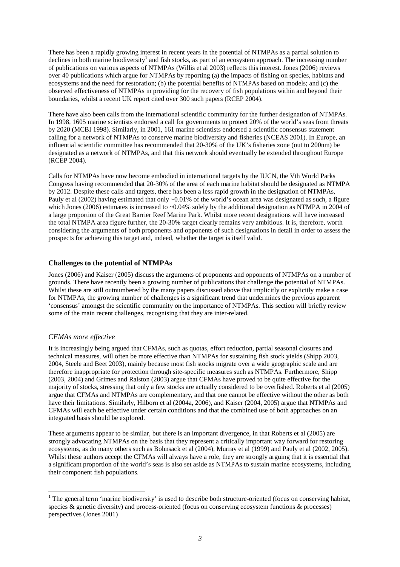There has been a rapidly growing interest in recent years in the potential of NTMPAs as a partial solution to declines in both marine biodiversity<sup>[1](#page-2-0)</sup> and fish stocks, as part of an ecosystem approach. The increasing number of publications on various aspects of NTMPAs (Willis et al 2003) reflects this interest. Jones (2006) reviews over 40 publications which argue for NTMPAs by reporting (a) the impacts of fishing on species, habitats and ecosystems and the need for restoration; (b) the potential benefits of NTMPAs based on models; and (c) the observed effectiveness of NTMPAs in providing for the recovery of fish populations within and beyond their boundaries, whilst a recent UK report cited over 300 such papers (RCEP 2004).

There have also been calls from the international scientific community for the further designation of NTMPAs. In 1998, 1605 marine scientists endorsed a call for governments to protect 20% of the world's seas from threats by 2020 (MCBI 1998). Similarly, in 2001, 161 marine scientists endorsed a scientific consensus statement calling for a network of NTMPAs to conserve marine biodiversity and fisheries (NCEAS 2001). In Europe, an influential scientific committee has recommended that 20-30% of the UK's fisheries zone (out to 200nm) be designated as a network of NTMPAs, and that this network should eventually be extended throughout Europe (RCEP 2004).

Calls for NTMPAs have now become embodied in international targets by the IUCN, the Vth World Parks Congress having recommended that 20-30% of the area of each marine habitat should be designated as NTMPA by 2012. Despite these calls and targets, there has been a less rapid growth in the designation of NTMPAs, Pauly et al (2002) having estimated that only ~0.01% of the world's ocean area was designated as such, a figure which Jones (2006) estimates is increased to ~0.04% solely by the additional designation as NTMPA in 2004 of a large proportion of the Great Barrier Reef Marine Park. Whilst more recent designations will have increased the total NTMPA area figure further, the 20-30% target clearly remains very ambitious. It is, therefore, worth considering the arguments of both proponents and opponents of such designations in detail in order to assess the prospects for achieving this target and, indeed, whether the target is itself valid.

# **Challenges to the potential of NTMPAs**

Jones (2006) and Kaiser (2005) discuss the arguments of proponents and opponents of NTMPAs on a number of grounds. There have recently been a growing number of publications that challenge the potential of NTMPAs. Whilst these are still outnumbered by the many papers discussed above that implicitly or explicitly make a case for NTMPAs, the growing number of challenges is a significant trend that undermines the previous apparent 'consensus' amongst the scientific community on the importance of NTMPAs. This section will briefly review some of the main recent challenges, recognising that they are inter-related.

### *CFMAs more effective*

It is increasingly being argued that CFMAs, such as quotas, effort reduction, partial seasonal closures and technical measures, will often be more effective than NTMPAs for sustaining fish stock yields (Shipp 2003, 2004, Steele and Beet 2003), mainly because most fish stocks migrate over a wide geographic scale and are therefore inappropriate for protection through site-specific measures such as NTMPAs. Furthermore, Shipp (2003, 2004) and Grimes and Ralston (2003) argue that CFMAs have proved to be quite effective for the majority of stocks, stressing that only a few stocks are actually considered to be overfished. Roberts et al (2005) argue that CFMAs and NTMPAs are complementary, and that one cannot be effective without the other as both have their limitations. Similarly, Hilborn et al (2004a, 2006), and Kaiser (2004, 2005) argue that NTMPAs and CFMAs will each be effective under certain conditions and that the combined use of both approaches on an integrated basis should be explored.

These arguments appear to be similar, but there is an important divergence, in that Roberts et al (2005) are strongly advocating NTMPAs on the basis that they represent a critically important way forward for restoring ecosystems, as do many others such as Bohnsack et al (2004), Murray et al (1999) and Pauly et al (2002, 2005). Whilst these authors accept the CFMAs will always have a role, they are strongly arguing that it is essential that a significant proportion of the world's seas is also set aside as NTMPAs to sustain marine ecosystems, including their component fish populations.

<span id="page-2-0"></span> $1$  The general term 'marine biodiversity' is used to describe both structure-oriented (focus on conserving habitat, species & genetic diversity) and process-oriented (focus on conserving ecosystem functions & processes) perspectives (Jones 2001)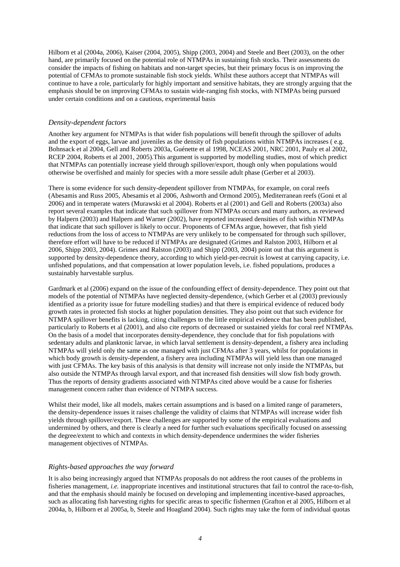Hilborn et al (2004a, 2006), Kaiser (2004, 2005), Shipp (2003, 2004) and Steele and Beet (2003), on the other hand, are primarily focused on the potential role of NTMPAs in sustaining fish stocks. Their assessments do consider the impacts of fishing on habitats and non-target species, but their primary focus is on improving the potential of CFMAs to promote sustainable fish stock yields. Whilst these authors accept that NTMPAs will continue to have a role, particularly for highly important and sensitive habitats, they are strongly arguing that the emphasis should be on improving CFMAs to sustain wide-ranging fish stocks, with NTMPAs being pursued under certain conditions and on a cautious, experimental basis

# *Density-dependent factors*

Another key argument for NTMPAs is that wider fish populations will benefit through the spillover of adults and the export of eggs, larvae and juveniles as the density of fish populations within NTMPAs increases ( e.g. Bohnsack et al 2004, Gell and Roberts 2003a, Guénette et al 1998, NCEAS 2001, NRC 2001, Pauly et al 2002, RCEP 2004, Roberts et al 2001, 2005).This argument is supported by modelling studies, most of which predict that NTMPAs can potentially increase yield through spillover/export, though only when populations would otherwise be overfished and mainly for species with a more sessile adult phase (Gerber et al 2003).

There is some evidence for such density-dependent spillover from NTMPAs, for example, on coral reefs (Abesamis and Russ 2005, Abesamis et al 2006, Ashworth and Ormond 2005), Mediterranean reefs (Goni et al 2006) and in temperate waters (Murawski et al 2004). Roberts et al (2001) and Gell and Roberts (2003a) also report several examples that indicate that such spillover from NTMPAs occurs and many authors, as reviewed by Halpern (2003) and Halpern and Warner (2002), have reported increased densities of fish within NTMPAs that indicate that such spillover is likely to occur. Proponents of CFMAs argue, however, that fish yield reductions from the loss of access to NTMPAs are very unlikely to be compensated for through such spillover, therefore effort will have to be reduced if NTMPAs are designated (Grimes and Ralston 2003, Hilborn et al 2006, Shipp 2003, 2004). Grimes and Ralston (2003) and Shipp (2003, 2004) point out that this argument is supported by density-dependence theory, according to which yield-per-recruit is lowest at carrying capacity, i.e. unfished populations, and that compensation at lower population levels, i.e. fished populations, produces a sustainably harvestable surplus.

Gardmark et al (2006) expand on the issue of the confounding effect of density-dependence. They point out that models of the potential of NTMPAs have neglected density-dependence, (which Gerber et al (2003) previously identified as a priority issue for future modelling studies) and that there is empirical evidence of reduced body growth rates in protected fish stocks at higher population densities. They also point out that such evidence for NTMPA spillover benefits is lacking, citing challenges to the little empirical evidence that has been published, particularly to Roberts et al (2001), and also cite reports of decreased or sustained yields for coral reef NTMPAs. On the basis of a model that incorporates density-dependence, they conclude that for fish populations with sedentary adults and planktonic larvae, in which larval settlement is density-dependent, a fishery area including NTMPAs will yield only the same as one managed with just CFMAs after 3 years, whilst for populations in which body growth is density-dependent, a fishery area including NTMPAs will yield less than one managed with just CFMAs. The key basis of this analysis is that density will increase not only inside the NTMPAs, but also outside the NTMPAs through larval export, and that increased fish densities will slow fish body growth. Thus the reports of density gradients associated with NTMPAs cited above would be a cause for fisheries management concern rather than evidence of NTMPA success.

Whilst their model, like all models, makes certain assumptions and is based on a limited range of parameters, the density-dependence issues it raises challenge the validity of claims that NTMPAs will increase wider fish yields through spillover/export. These challenges are supported by some of the empirical evaluations and undermined by others, and there is clearly a need for further such evaluations specifically focused on assessing the degree/extent to which and contexts in which density-dependence undermines the wider fisheries management objectives of NTMPAs.

### *Rights-based approaches the way forward*

It is also being increasingly argued that NTMPAs proposals do not address the root causes of the problems in fisheries management, *i.e.* inappropriate incentives and institutional structures that fail to control the race-to-fish, and that the emphasis should mainly be focused on developing and implementing incentive-based approaches, such as allocating fish harvesting rights for specific areas to specific fishermen (Grafton et al 2005, Hilborn et al 2004a, b, Hilborn et al 2005a, b, Steele and Hoagland 2004). Such rights may take the form of individual quotas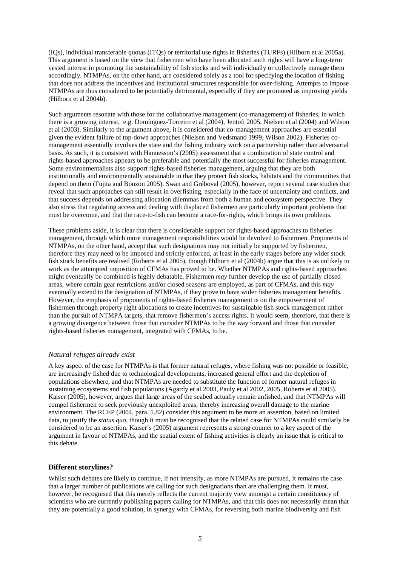(IQs), individual transferable quotas (ITQs) or territorial use rights in fisheries (TURFs) (Hilborn et al 2005a). This argument is based on the view that fishermen who have been allocated such rights will have a long-term vested interest in promoting the sustainability of fish stocks and will individually or collectively manage them accordingly. NTMPAs, on the other hand, are considered solely as a tool for specifying the location of fishing that does not address the incentives and institutional structures responsible for over-fishing. Attempts to impose NTMPAs are thus considered to be potentially detrimental, especially if they are promoted as improving yields (Hilborn et al 2004b).

Such arguments resonate with those for the collaborative management (co-management) of fisheries, in which there is a growing interest, e.g. Domínguez-Torreiro et al (2004), Jentoft 2005, Nielsen et al (2004) and Wilson et al (2003). Similarly to the argument above, it is considered that co-management approaches are essential given the evident failure of top-down approaches (Nielsen and Vedsmand 1999, Wilson 2002). Fisheries comanagement essentially involves the state and the fishing industry work on a partnership rather than adversarial basis. As such, it is consistent with Hannesson's (2005) assessment that a combination of state control and rights-based approaches appears to be preferable and potentially the most successful for fisheries management. Some environmentalists also support rights-based fisheries management, arguing that they are both institutionally and environmentally sustainable in that they protect fish stocks, habitats and the communities that depend on them (Fujita and Bonzon 2005). Swan and Gréboval (2005), however, report several case studies that reveal that such approaches can still result in overfishing, especially in the face of uncertainty and conflicts, and that success depends on addressing allocation dilemmas from both a human and ecosystem perspective. They also stress that regulating access and dealing with displaced fishermen are particularly important problems that must be overcome, and that the race-to-fish can become a race-for-rights, which brings its own problems.

These problems aside, it is clear that there is considerable support for rights-based approaches to fisheries management, through which more management responsibilities would be devolved to fishermen. Proponents of NTMPAs, on the other hand, accept that such designations may not initially be supported by fishermen, therefore they may need to be imposed and strictly enforced, at least in the early stages before any wider stock fish stock benefits are realised (Roberts et al 2005), though Hilborn et al (2004b) argue that this is as unlikely to work as the attempted imposition of CFMAs has proved to be. Whether NTMPAs and rights-based approaches might eventually be combined is highly debatable. Fishermen *may* further develop the use of partially closed areas, where certain gear restrictions and/or closed seasons are employed, as part of CFMAs, and this *may* eventually extend to the designation of NTMPAs, if they prove to have wider fisheries management benefits. However, the emphasis of proponents of rights-based fisheries management is on the empowerment of fishermen through property right allocations to create incentives for sustainable fish stock management rather than the pursuit of NTMPA targets, that remove fishermen's access rights. It would seem, therefore, that there is a growing divergence between those that consider NTMPAs to be the way forward and those that consider rights-based fisheries management, integrated with CFMAs, to be.

## *Natural refuges already exist*

A key aspect of the case for NTMPAs is that former natural refuges, where fishing was not possible or feasible, are increasingly fished due to technological developments, increased general effort and the depletion of populations elsewhere, and that NTMPAs are needed to substitute the function of former natural refuges in sustaining ecosystems and fish populations (Agardy et al 2003, Pauly et al 2002, 2005, Roberts et al 2005). Kaiser (2005), however, argues that large areas of the seabed actually remain unfished, and that NTMPAs will compel fishermen to seek previously unexploited areas, thereby increasing overall damage to the marine environment. The RCEP (2004, para. 5.82) consider this argument to be more an assertion, based on limited data, to justify the *status quo*, though it must be recognised that the related case for NTMPAs could similarly be considered to be an assertion. Kaiser's (2005) argument represents a strong counter to a key aspect of the argument in favour of NTMPAs, and the spatial extent of fishing activities is clearly an issue that is critical to this debate.

### **Different storylines?**

Whilst such debates are likely to continue, if not intensify, as more NTMPAs are pursued, it remains the case that a larger number of publications are calling for such designations than are challenging them. It must, however, be recognised that this merely reflects the current majority view amongst a certain constituency of scientists who are currently publishing papers calling for NTMPAs, and that this does not necessarily mean that they are potentially a good solution, in synergy with CFMAs, for reversing both marine biodiversity and fish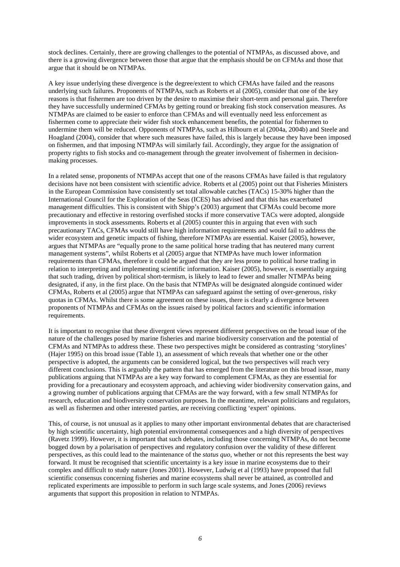stock declines. Certainly, there are growing challenges to the potential of NTMPAs, as discussed above, and there is a growing divergence between those that argue that the emphasis should be on CFMAs and those that argue that it should be on NTMPAs.

A key issue underlying these divergence is the degree/extent to which CFMAs have failed and the reasons underlying such failures. Proponents of NTMPAs, such as Roberts et al (2005), consider that one of the key reasons is that fishermen are too driven by the desire to maximise their short-term and personal gain. Therefore they have successfully undermined CFMAs by getting round or breaking fish stock conservation measures. As NTMPAs are claimed to be easier to enforce than CFMAs and will eventually need less enforcement as fishermen come to appreciate their wider fish stock enhancement benefits, the potential for fishermen to undermine them will be reduced. Opponents of NTMPAs, such as Hilbourn et al (2004a, 2004b) and Steele and Hoagland (2004), consider that where such measures have failed, this is largely because they have been imposed on fishermen, and that imposing NTMPAs will similarly fail. Accordingly, they argue for the assignation of property rights to fish stocks and co-management through the greater involvement of fishermen in decisionmaking processes.

In a related sense, proponents of NTMPAs accept that one of the reasons CFMAs have failed is that regulatory decisions have not been consistent with scientific advice. Roberts et al (2005) point out that Fisheries Ministers in the European Commission have consistently set total allowable catches (TACs) 15-30% higher than the International Council for the Exploration of the Seas (ICES) has advised and that this has exacerbated management difficulties. This is consistent with Shipp's (2003) argument that CFMAs could become more precautionary and effective in restoring overfished stocks if more conservative TACs were adopted, alongside improvements in stock assessments. Roberts et al (2005) counter this in arguing that even with such precautionary TACs, CFMAs would still have high information requirements and would fail to address the wider ecosystem and genetic impacts of fishing, therefore NTMPAs are essential. Kaiser (2005), however, argues that NTMPAs are "equally prone to the same political horse trading that has neutered many current management systems", whilst Roberts et al (2005) argue that NTMPAs have much lower information requirements than CFMAs, therefore it could be argued that they are less prone to political horse trading in relation to interpreting and implementing scientific information. Kaiser (2005), however, is essentially arguing that such trading, driven by political short-termism, is likely to lead to fewer and smaller NTMPAs being designated, if any, in the first place. On the basis that NTMPAs will be designated alongside continued wider CFMAs, Roberts et al (2005) argue that NTMPAs can safeguard against the setting of over-generous, risky quotas in CFMAs. Whilst there is some agreement on these issues, there is clearly a divergence between proponents of NTMPAs and CFMAs on the issues raised by political factors and scientific information requirements.

It is important to recognise that these divergent views represent different perspectives on the broad issue of the nature of the challenges posed by marine fisheries and marine biodiversity conservation and the potential of CFMAs and NTMPAs to address these. These two perspectives might be considered as contrasting 'storylines' (Hajer 1995) on this broad issue (Table 1), an assessment of which reveals that whether one or the other perspective is adopted, the arguments can be considered logical, but the two perspectives will reach very different conclusions. This is arguably the pattern that has emerged from the literature on this broad issue, many publications arguing that NTMPAs are a key way forward to complement CFMAs, as they are essential for providing for a precautionary and ecosystem approach, and achieving wider biodiversity conservation gains, and a growing number of publications arguing that CFMAs are the way forward, with a few small NTMPAs for research, education and biodiversity conservation purposes. In the meantime, relevant politicians and regulators, as well as fishermen and other interested parties, are receiving conflicting 'expert' opinions.

This, of course, is not unusual as it applies to many other important environmental debates that are characterised by high scientific uncertainty, high potential environmental consequences and a high diversity of perspectives (Ravetz 1999). However, it is important that such debates, including those concerning NTMPAs, do not become bogged down by a polarisation of perspectives and regulatory confusion over the validity of these different perspectives, as this could lead to the maintenance of the *status quo*, whether or not this represents the best way forward. It must be recognised that scientific uncertainty is a key issue in marine ecosystems due to their complex and difficult to study nature (Jones 2001). However, Ludwig et al (1993) have proposed that full scientific consensus concerning fisheries and marine ecosystems shall never be attained, as controlled and replicated experiments are impossible to perform in such large scale systems, and Jones (2006) reviews arguments that support this proposition in relation to NTMPAs.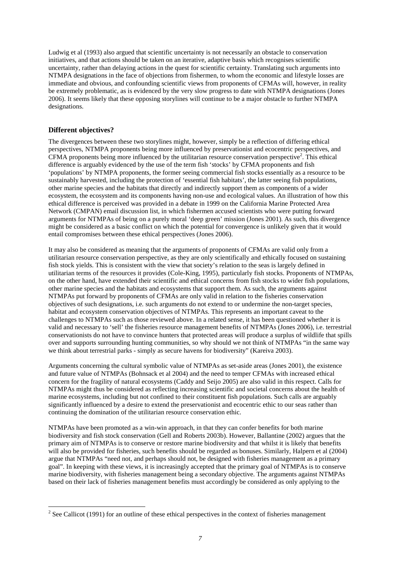Ludwig et al (1993) also argued that scientific uncertainty is not necessarily an obstacle to conservation initiatives, and that actions should be taken on an iterative, adaptive basis which recognises scientific uncertainty, rather than delaying actions in the quest for scientific certainty. Translating such arguments into NTMPA designations in the face of objections from fishermen, to whom the economic and lifestyle losses are immediate and obvious, and confounding scientific views from proponents of CFMAs will, however, in reality be extremely problematic, as is evidenced by the very slow progress to date with NTMPA designations (Jones 2006). It seems likely that these opposing storylines will continue to be a major obstacle to further NTMPA designations.

# **Different objectives?**

The divergences between these two storylines might, however, simply be a reflection of differing ethical perspectives, NTMPA proponents being more influenced by preservationist and ecocentric perspectives, and CFMA proponents being more influenced by the utilitarian resource conservation perspective<sup>[2](#page-6-0)</sup>. This ethical difference is arguably evidenced by the use of the term fish 'stocks' by CFMA proponents and fish 'populations' by NTMPA proponents, the former seeing commercial fish stocks essentially as a resource to be sustainably harvested, including the protection of 'essential fish habitats', the latter seeing fish populations, other marine species and the habitats that directly and indirectly support them as components of a wider ecosystem, the ecosystem and its components having non-use and ecological values. An illustration of how this ethical difference is perceived was provided in a debate in 1999 on the California Marine Protected Area Network (CMPAN) email discussion list, in which fishermen accused scientists who were putting forward arguments for NTMPAs of being on a purely moral 'deep green' mission (Jones 2001). As such, this divergence might be considered as a basic conflict on which the potential for convergence is unlikely given that it would entail compromises between these ethical perspectives (Jones 2006).

It may also be considered as meaning that the arguments of proponents of CFMAs are valid only from a utilitarian resource conservation perspective, as they are only scientifically and ethically focused on sustaining fish stock yields. This is consistent with the view that society's relation to the seas is largely defined in utilitarian terms of the resources it provides (Cole-King, 1995), particularly fish stocks. Proponents of NTMPAs, on the other hand, have extended their scientific and ethical concerns from fish stocks to wider fish populations, other marine species and the habitats and ecosystems that support them. As such, the arguments against NTMPAs put forward by proponents of CFMAs are only valid in relation to the fisheries conservation objectives of such designations, i.e*.* such arguments do not extend to or undermine the non-target species, habitat and ecosystem conservation objectives of NTMPAs. This represents an important caveat to the challenges to NTMPAs such as those reviewed above. In a related sense, it has been questioned whether it is valid and necessary to 'sell' the fisheries resource management benefits of NTMPAs (Jones 2006), i.e. terrestrial conservationists do not have to convince hunters that protected areas will produce a surplus of wildlife that spills over and supports surrounding hunting communities, so why should we not think of NTMPAs "in the same way we think about terrestrial parks - simply as secure havens for biodiversity" (Kareiva 2003).

Arguments concerning the cultural symbolic value of NTMPAs as set-aside areas (Jones 2001), the existence and future value of NTMPAs (Bohnsack et al 2004) and the need to temper CFMAs with increased ethical concern for the fragility of natural ecosystems (Caddy and Seijo 2005) are also valid in this respect. Calls for NTMPAs might thus be considered as reflecting increasing scientific and societal concerns about the health of marine ecosystems, including but not confined to their constituent fish populations. Such calls are arguably significantly influenced by a desire to extend the preservationist and ecocentric ethic to our seas rather than continuing the domination of the utilitarian resource conservation ethic.

NTMPAs have been promoted as a win-win approach, in that they can confer benefits for both marine biodiversity and fish stock conservation (Gell and Roberts 2003b). However, Ballantine (2002) argues that the primary aim of NTMPAs is to conserve or restore marine biodiversity and that whilst it is likely that benefits will also be provided for fisheries, such benefits should be regarded as bonuses. Similarly, Halpern et al (2004) argue that NTMPAs "need not, and perhaps should not, be designed with fisheries management as a primary goal". In keeping with these views, it is increasingly accepted that the primary goal of NTMPAs is to conserve marine biodiversity, with fisheries management being a secondary objective. The arguments against NTMPAs based on their lack of fisheries management benefits must accordingly be considered as only applying to the

<span id="page-6-0"></span><sup>&</sup>lt;sup>2</sup> See Callicot (1991) for an outline of these ethical perspectives in the context of fisheries management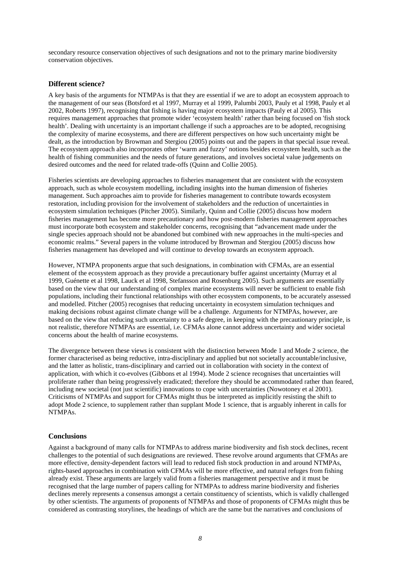secondary resource conservation objectives of such designations and not to the primary marine biodiversity conservation objectives.

# **Different science?**

A key basis of the arguments for NTMPAs is that they are essential if we are to adopt an ecosystem approach to the management of our seas (Botsford et al 1997, Murray et al 1999, Palumbi 2003, Pauly et al 1998, Pauly et al 2002, Roberts 1997), recognising that fishing is having major ecosystem impacts (Pauly et al 2005). This requires management approaches that promote wider 'ecosystem health' rather than being focused on 'fish stock health'. Dealing with uncertainty is an important challenge if such a approaches are to be adopted, recognising the complexity of marine ecosystems, and there are different perspectives on how such uncertainty might be dealt, as the introduction by Browman and Stergiou (2005) points out and the papers in that special issue reveal. The ecosystem approach also incorporates other 'warm and fuzzy' notions besides ecosystem health, such as the health of fishing communities and the needs of future generations, and involves societal value judgements on desired outcomes and the need for related trade-offs (Quinn and Collie 2005).

Fisheries scientists are developing approaches to fisheries management that are consistent with the ecosystem approach, such as whole ecosystem modelling, including insights into the human dimension of fisheries management. Such approaches aim to provide for fisheries management to contribute towards ecosystem restoration, including provision for the involvement of stakeholders and the reduction of uncertainties in ecosystem simulation techniques (Pitcher 2005). Similarly, Quinn and Collie (2005) discuss how modern fisheries management has become more precautionary and how post-modern fisheries management approaches must incorporate both ecosystem and stakeholder concerns, recognising that "advancement made under the single species approach should not be abandoned but combined with new approaches in the multi-species and economic realms." Several papers in the volume introduced by Browman and Stergiou (2005) discuss how fisheries management has developed and will continue to develop towards an ecosystem approach.

However, NTMPA proponents argue that such designations, in combination with CFMAs, are an essential element of the ecosystem approach as they provide a precautionary buffer against uncertainty (Murray et al 1999, Guénette et al 1998, Lauck et al 1998, Stefansson and Rosenburg 2005). Such arguments are essentially based on the view that our understanding of complex marine ecosystems will never be sufficient to enable fish populations, including their functional relationships with other ecosystem components, to be accurately assessed and modelled. Pitcher (2005) recognises that reducing uncertainty in ecosystem simulation techniques and making decisions robust against climate change will be a challenge. Arguments for NTMPAs, however, are based on the view that reducing such uncertainty to a safe degree, in keeping with the precautionary principle, is not realistic, therefore NTMPAs are essential, i.e. CFMAs alone cannot address uncertainty and wider societal concerns about the health of marine ecosystems.

The divergence between these views is consistent with the distinction between Mode 1 and Mode 2 science, the former characterised as being reductive, intra-disciplinary and applied but not societally accountable/inclusive, and the latter as holistic, trans-disciplinary and carried out in collaboration with society in the context of application, with which it co-evolves (Gibbons et al 1994). Mode 2 science recognises that uncertainties will proliferate rather than being progressively eradicated; therefore they should be accommodated rather than feared, including new societal (not just scientific) innovations to cope with uncertainties (Nowotoney et al 2001). Criticisms of NTMPAs and support for CFMAs might thus be interpreted as implicitly resisting the shift to adopt Mode 2 science, to supplement rather than supplant Mode 1 science, that is arguably inherent in calls for NTMPAs.

### **Conclusions**

Against a background of many calls for NTMPAs to address marine biodiversity and fish stock declines, recent challenges to the potential of such designations are reviewed. These revolve around arguments that CFMAs are more effective, density-dependent factors will lead to reduced fish stock production in and around NTMPAs, rights-based approaches in combination with CFMAs will be more effective, and natural refuges from fishing already exist. These arguments are largely valid from a fisheries management perspective and it must be recognised that the large number of papers calling for NTMPAs to address marine biodiversity and fisheries declines merely represents a consensus amongst a certain constituency of scientists, which is validly challenged by other scientists. The arguments of proponents of NTMPAs and those of proponents of CFMAs might thus be considered as contrasting storylines, the headings of which are the same but the narratives and conclusions of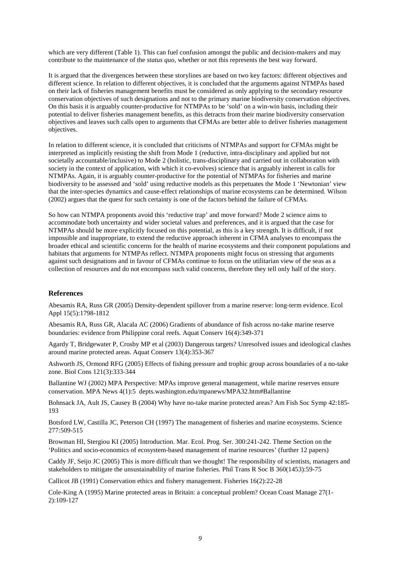which are very different (Table 1). This can fuel confusion amongst the public and decision-makers and may contribute to the maintenance of the *status quo*, whether or not this represents the best way forward.

It is argued that the divergences between these storylines are based on two key factors: different objectives and different science. In relation to different objectives, it is concluded that the arguments against NTMPAs based on their lack of fisheries management benefits must be considered as only applying to the secondary resource conservation objectives of such designations and not to the primary marine biodiversity conservation objectives. On this basis it is arguably counter-productive for NTMPAs to be 'sold' on a win-win basis, including their potential to deliver fisheries management benefits, as this detracts from their marine biodiversity conservation objectives and leaves such calls open to arguments that CFMAs are better able to deliver fisheries management objectives.

In relation to different science, it is concluded that criticisms of NTMPAs and support for CFMAs might be interpreted as implicitly resisting the shift from Mode 1 (reductive, intra-disciplinary and applied but not societally accountable/inclusive) to Mode 2 (holistic, trans-disciplinary and carried out in collaboration with society in the context of application, with which it co-evolves) science that is arguably inherent in calls for NTMPAs. Again, it is arguably counter-productive for the potential of NTMPAs for fisheries and marine biodiversity to be assessed and 'sold' using reductive models as this perpetuates the Mode 1 'Newtonian' view that the inter-species dynamics and cause-effect relationships of marine ecosystems can be determined. Wilson (2002) argues that the quest for such certainty is one of the factors behind the failure of CFMAs.

So how can NTMPA proponents avoid this 'reductive trap' and move forward? Mode 2 science aims to accommodate both uncertainty and wider societal values and preferences, and it is argued that the case for NTMPAs should be more explicitly focused on this potential, as this is a key strength. It is difficult, if not impossible and inappropriate, to extend the reductive approach inherent in CFMA analyses to encompass the broader ethical and scientific concerns for the health of marine ecosystems and their component populations and habitats that arguments for NTMPAs reflect. NTMPA proponents might focus on stressing that arguments against such designations and in favour of CFMAs continue to focus on the utilitarian view of the seas as a collection of resources and do not encompass such valid concerns, therefore they tell only half of the story.

# **References**

Abesamis RA, Russ GR (2005) Density-dependent spillover from a marine reserve: long-term evidence. Ecol Appl 15(5):1798-1812

Abesamis RA, Russ GR, Alacala AC (2006) Gradients of abundance of fish across no-take marine reserve boundaries: evidence from Philippine coral reefs. Aquat Conserv 16(4):349-371

Agardy T, Bridgewater P, Crosby MP et al (2003) Dangerous targets? Unresolved issues and ideological clashes around marine protected areas. Aquat Conserv 13(4):353-367

Ashworth JS, Ormond RFG (2005) Effects of fishing pressure and trophic group across boundaries of a no-take zone. Biol Cons 121(3):333-344

Ballantine WJ (2002) MPA Perspective: MPAs improve general management, while marine reserves ensure conservation. MPA News 4(1):5 depts.washington.edu/mpanews/MPA32.htm#Ballantine

Bohnsack JA, Ault JS, Causey B (2004) Why have no-take marine protected areas? Am Fish Soc Symp 42:185- 193

Botsford LW, Castilla JC, Peterson CH (1997) The management of fisheries and marine ecosystems. Science 277:509-515

Browman HI, Stergiou KI (2005) Introduction. Mar. Ecol. Prog. Ser. 300:241-242. Theme Section on the 'Politics and socio-economics of ecosystem-based management of marine resources' (further 12 papers)

Caddy JF, Seijo JC (2005) This is more difficult than we thought! The responsibility of scientists, managers and stakeholders to mitigate the unsustainability of marine fisheries. Phil Trans R Soc B 360(1453):59-75

Callicot JB (1991) Conservation ethics and fishery management. Fisheries 16(2):22-28

Cole-King A (1995) Marine protected areas in Britain: a conceptual problem? Ocean Coast Manage 27(1- 2):109-127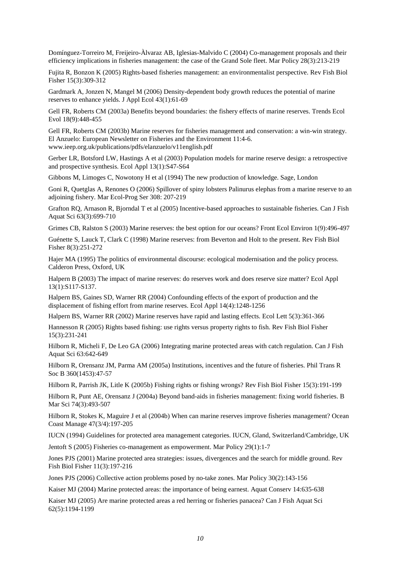Domínguez-Torreiro M, Freijeiro-Àlvaraz AB, Iglesias-Malvido C (2004) Co-management proposals and their efficiency implications in fisheries management: the case of the Grand Sole fleet. Mar Policy 28(3):213-219

Fujita R, Bonzon K (2005) Rights-based fisheries management: an environmentalist perspective. Rev Fish Biol Fisher 15(3):309-312

Gardmark A, Jonzen N, Mangel M (2006) Density-dependent body growth reduces the potential of marine reserves to enhance yields. J Appl Ecol 43(1):61-69

Gell FR, Roberts CM (2003a) Benefits beyond boundaries: the fishery effects of marine reserves. Trends Ecol Evol 18(9):448-455

Gell FR, Roberts CM (2003b) Marine reserves for fisheries management and conservation: a win-win strategy. El Anzuelo: European Newsletter on Fisheries and the Environment 11:4-6. [www.ieep.org.uk/publications/pdfs/elanzuelo/v11english.pdf](http://www.ieep.org.uk/publications/pdfs/elanzuelo/v11english.pdf)

[Gerber LR,](http://wos.isiknowledge.com/CIW.cgi?SID=S2ppAjIjODbNCKCiHCb&Func=OneClickSearch&field=AU&val=Gerber+LR&curr_doc=1/5&Form=FullRecordPage&doc=1/5) [Botsford LW](http://wos.isiknowledge.com/CIW.cgi?SID=S2ppAjIjODbNCKCiHCb&Func=OneClickSearch&field=AU&val=Botsford+LW&curr_doc=1/5&Form=FullRecordPage&doc=1/5), [Hastings A](http://wos.isiknowledge.com/CIW.cgi?SID=S2ppAjIjODbNCKCiHCb&Func=OneClickSearch&field=AU&val=Hastings+A&curr_doc=1/5&Form=FullRecordPage&doc=1/5) et al (2003) Population models for marine reserve design: a retrospective and prospective synthesis. Ecol Appl 13(1):S47-S64

Gibbons M, Limoges C, Nowotony H et al (1994) The new production of knowledge. Sage, London

Goni R, [Quetglas A](http://wos.isiknowledge.com/CIW.cgi?SID=Z2LJgH5@IA8568AE@e3&Func=OneClickSearch&field=AU&val=Quetglas+A&curr_doc=1/1&Form=FullRecordPage&doc=1/1), [Renones O](http://wos.isiknowledge.com/CIW.cgi?SID=Z2LJgH5@IA8568AE@e3&Func=OneClickSearch&field=AU&val=Renones+O&curr_doc=1/1&Form=FullRecordPage&doc=1/1) (2006) Spillover of spiny lobsters Palinurus elephas from a marine reserve to an adjoining fishery. Mar Ecol-Prog Ser 308: 207-219

[Grafton RQ](http://wos.isiknowledge.com/CIW.cgi?SID=W2KO@loJEKNMNnGeOoa&Func=OneClickSearch&field=AU&val=Grafton+RQ&curr_doc=1/1&Form=FullRecordPage&doc=1/1), [Arnason R](http://wos.isiknowledge.com/CIW.cgi?SID=W2KO@loJEKNMNnGeOoa&Func=OneClickSearch&field=AU&val=Arnason+R&curr_doc=1/1&Form=FullRecordPage&doc=1/1), [Bjorndal T](http://wos.isiknowledge.com/CIW.cgi?SID=W2KO@loJEKNMNnGeOoa&Func=OneClickSearch&field=AU&val=Bjorndal+T&curr_doc=1/1&Form=FullRecordPage&doc=1/1) et al (2005) Incentive-based approaches to sustainable fisheries. Can J Fish Aquat Sci 63(3):699-710

Grimes CB, Ralston S (2003) Marine reserves: the best option for our oceans? Front Ecol Environ 1(9):496-497

Guénette S, Lauck T, Clark C (1998) Marine reserves: from Beverton and Holt to the present. Rev Fish Biol Fisher 8(3):251-272

Hajer MA (1995) The politics of environmental discourse: ecological modernisation and the policy process. Calderon Press, Oxford, UK

Halpern B (2003) The impact of marine reserves: do reserves work and does reserve size matter? Ecol Appl 13(1):S117-S137.

Halpern BS, Gaines SD, Warner RR (2004) Confounding effects of the export of production and the displacement of fishing effort from marine reserves. Ecol Appl 14(4):1248-1256

Halpern BS, Warner RR (2002) Marine reserves have rapid and lasting effects. Ecol Lett 5(3):361-366

Hannesson R (2005) Rights based fishing: use rights versus property rights to fish. Rev Fish Biol Fisher 15(3):231-241

Hilborn R, Micheli F, De Leo GA (2006) Integrating marine protected areas with catch regulation. Can J Fish Aquat Sci 63:642-649

Hilborn R, Orensanz JM, Parma AM (2005a) Institutions, incentives and the future of fisheries. Phil Trans R Soc B 360(1453):47-57

Hilborn R, Parrish JK, Litle K (2005b) Fishing rights or fishing wrongs? Rev Fish Biol Fisher 15(3):191-199

Hilborn R, Punt AE, Orensanz J (2004a) Beyond band-aids in fisheries management: fixing world fisheries. B Mar Sci 74(3):493-507

Hilborn R, Stokes K, Maguire J et al (2004b) When can marine reserves improve fisheries management? Ocean Coast Manage 47(3/4):197-205

IUCN (1994) Guidelines for protected area management categories. IUCN, Gland, Switzerland/Cambridge, UK

Jentoft S (2005) Fisheries co-management as empowerment. Mar Policy 29(1):1-7

Jones PJS (2001) Marine protected area strategies: issues, divergences and the search for middle ground. Rev Fish Biol Fisher 11(3):197-216

Jones PJS (2006) Collective action problems posed by no-take zones. Mar Policy 30(2):143-156

Kaiser MJ (2004) Marine protected areas: the importance of being earnest. Aquat Conserv 14:635-638

Kaiser MJ (2005) Are marine protected areas a red herring or fisheries panacea? Can J Fish Aquat Sci 62(5):1194-1199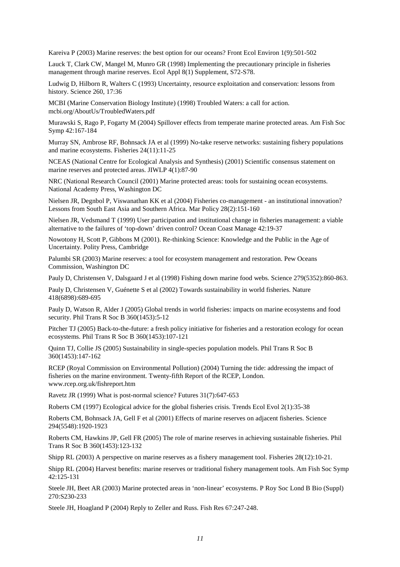Kareiva P (2003) Marine reserves: the best option for our oceans? Front Ecol Environ 1(9):501-502

Lauck T, Clark CW, Mangel M, Munro GR (1998) Implementing the precautionary principle in fisheries management through marine reserves. Ecol Appl 8(1) Supplement, S72-S78.

Ludwig D, Hilborn R, Walters C (1993) Uncertainty, resource exploitation and conservation: lessons from history. Science 260, 17:36

MCBI (Marine Conservation Biology Institute) (1998) Troubled Waters: a call for action. [mcbi.org/AboutUs/TroubledWaters.pdf](http://www.mcbi.org/AboutUs/TroubledWaters.pdf)

Murawski S, Rago P, Fogarty M (2004) Spillover effects from temperate marine protected areas. Am Fish Soc Symp 42:167-184

Murray SN, Ambrose RF, Bohnsack JA et al (1999) No-take reserve networks: sustaining fishery populations and marine ecosystems. Fisheries 24(11):11-25

NCEAS (National Centre for Ecological Analysis and Synthesis) (2001) Scientific consensus statement on marine reserves and protected areas. JIWLP 4(1):87-90

NRC (National Research Council (2001) Marine protected areas: tools for sustaining ocean ecosystems. National Academy Press, Washington DC

Nielsen JR, Degnbol P, Viswanathan KK et al (2004) Fisheries co-management - an institutional innovation? Lessons from South East Asia and Southern Africa. Mar Policy 28(2):151-160

Nielsen JR, Vedsmand T (1999) User participation and institutional change in fisheries management: a viable alternative to the failures of 'top-down' driven control? Ocean Coast Manage 42:19-37

Nowotony H, Scott P, Gibbons M (2001). Re-thinking Science: Knowledge and the Public in the Age of Uncertainty. Polity Press, Cambridge

Palumbi SR (2003) Marine reserves: a tool for ecosystem management and restoration. Pew Oceans Commission, Washington DC

Pauly D, Christensen V, Dalsgaard J et al (1998) Fishing down marine food webs. Science 279(5352):860-863.

Pauly D, Christensen V, Guénette S et al (2002) Towards sustainability in world fisheries. Nature 418(6898):689-695

Pauly D, Watson R, Alder J (2005) Global trends in world fisheries: impacts on marine ecosystems and food security. Phil Trans R Soc B 360(1453):5-12

Pitcher TJ (2005) Back-to-the-future: a fresh policy initiative for fisheries and a restoration ecology for ocean ecosystems. Phil Trans R Soc B 360(1453):107-121

Quinn TJ, Collie JS (2005) Sustainability in single-species population models. Phil Trans R Soc B 360(1453):147-162

RCEP (Royal Commission on Environmental Pollution) (2004) Turning the tide: addressing the impact of fisheries on the marine environment. Twenty-fifth Report of the RCEP, London. [www.rcep.org.uk/fishreport.htm](http://www.rcep.org.uk/fishreport.htm)

Ravetz JR (1999) What is post-normal science? Futures 31(7):647-653

Roberts CM (1997) Ecological advice for the global fisheries crisis. Trends Ecol Evol 2(1):35-38

Roberts CM, Bohnsack JA, Gell F et al (2001) Effects of marine reserves on adjacent fisheries. Science 294(5548):1920-1923

Roberts CM, Hawkins JP, Gell FR (2005) The role of marine reserves in achieving sustainable fisheries. Phil Trans R Soc B 360(1453):123-132

Shipp RL (2003) A perspective on marine reserves as a fishery management tool. Fisheries 28(12):10-21.

Shipp RL (2004) Harvest benefits: marine reserves or traditional fishery management tools. Am Fish Soc Symp 42:125-131

Steele JH, Beet AR (2003) Marine protected areas in 'non-linear' ecosystems. P Roy Soc Lond B Bio (Suppl) 270:S230-233

Steele JH, Hoagland P (2004) Reply to Zeller and Russ. Fish Res 67:247-248.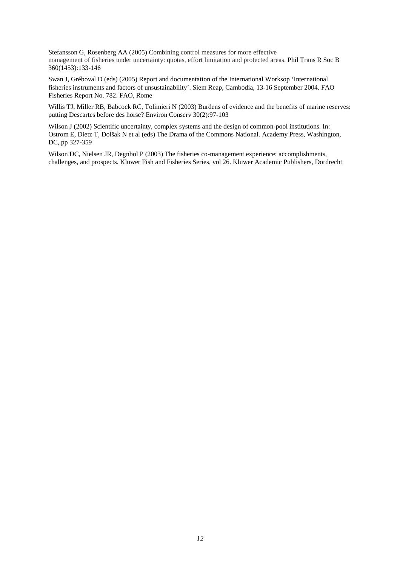Stefansson G, Rosenberg AA (2005) Combining control measures for more effective management of fisheries under uncertainty: quotas, effort limitation and protected areas. Phil Trans R Soc B 360(1453):133-146

Swan J, Gréboval D (eds) (2005) Report and documentation of the International Worksop 'International fisheries instruments and factors of unsustainability'. Siem Reap, Cambodia, 13-16 September 2004. FAO Fisheries Report No. 782. FAO, Rome

Willis TJ, Miller RB, Babcock RC, Tolimieri N (2003) Burdens of evidence and the benefits of marine reserves: putting Descartes before des horse? Environ Conserv 30(2):97-103

Wilson J (2002) Scientific uncertainty, complex systems and the design of common-pool institutions. In: Ostrom E, Dietz T, Dolšak N et al (eds) The Drama of the Commons National. Academy Press, Washington, DC, pp 327-359

Wilson DC, Nielsen JR, Degnbol P (2003) The fisheries co-management experience: accomplishments, challenges, and prospects. Kluwer Fish and Fisheries Series, vol 26. Kluwer Academic Publishers, Dordrecht